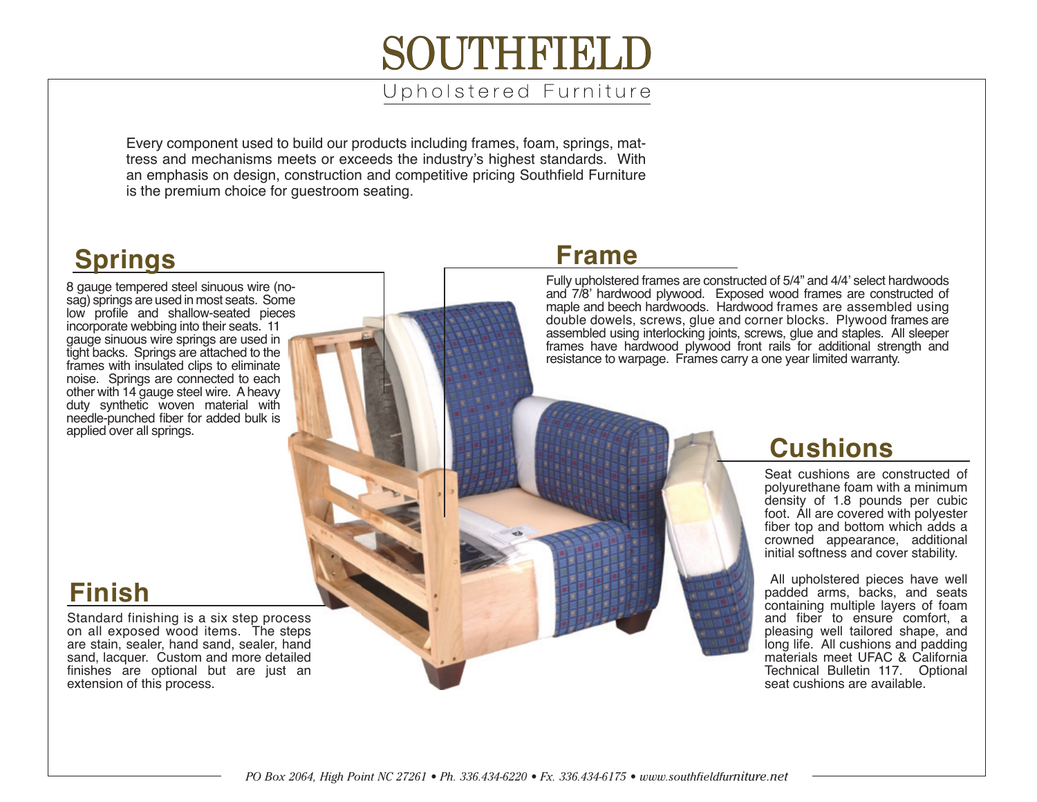# **SOLITHERIE**

#### Upholstered Furniture

Every component used to build our products including frames, foam, springs, mattress and mechanisms meets or exceeds the industry's highest standards. With an emphasis on design, construction and competitive pricing Southfield Furniture is the premium choice for guestroom seating.

#### **Springs**

8 gauge tempered steel sinuous wire (nosag) springs are used in most seats. Some low profile and shallow-seated pieces incorporate webbing into their seats. 11 gauge sinuous wire springs are used in tight backs. Springs are attached to the frames with insulated clips to eliminate noise. Springs are connected to each other with 14 gauge steel wire. A heavy duty synthetic woven material with needle-punched fiber for added bulk is applied over all springs.

## **Frame**

Fully upholstered frames are constructed of 5/4" and 4/4' select hardwoods and 7/8' hardwood plywood. Exposed wood frames are constructed of maple and beech hardwoods. Hardwood frames are assembled using double dowels, screws, glue and corner blocks. Plywood frames are assembled using interlocking joints, screws, glue and staples. All sleeper frames have hardwood plywood front rails for additional strength and resistance to warpage. Frames carry a one year limited warranty.

#### **Cushions**

Seat cushions are constructed of polyurethane foam with a minimum density of 1.8 pounds per cubic foot. All are covered with polyester fiber top and bottom which adds a crowned appearance, additional initial softness and cover stability.

 All upholstered pieces have well padded arms, backs, and seats containing multiple layers of foam and fiber to ensure comfort, a pleasing well tailored shape, and long life. All cushions and padding materials meet UFAC & California Technical Bulletin 117. Optional seat cushions are available.

## **Finish**

Standard finishing is a six step process on all exposed wood items. The steps are stain, sealer, hand sand, sealer, hand sand, lacquer. Custom and more detailed finishes are optional but are just an extension of this process.